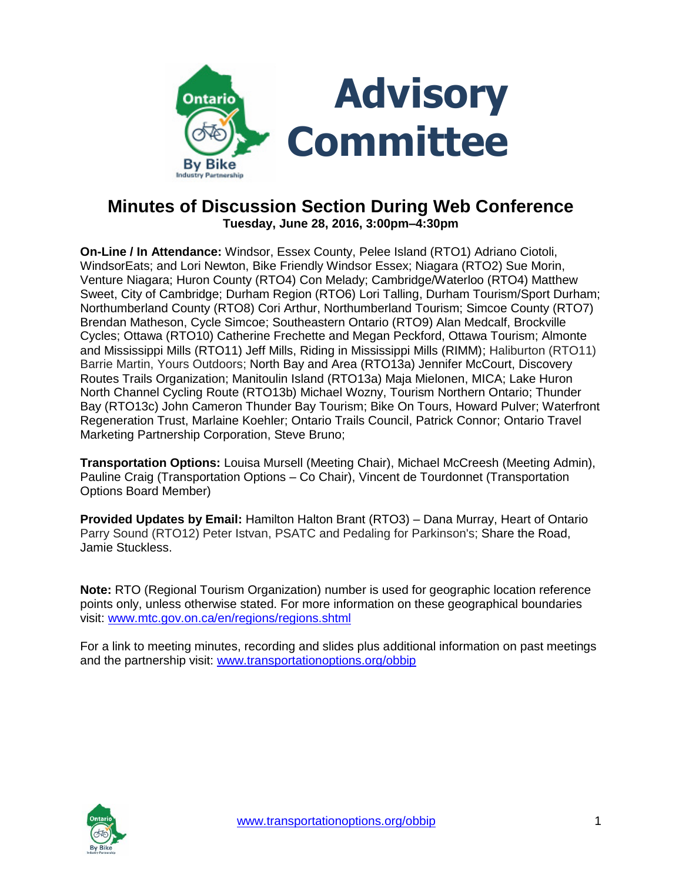

# **Minutes of Discussion Section During Web Conference Tuesday, June 28, 2016, 3:00pm–4:30pm**

**On-Line / In Attendance:** Windsor, Essex County, Pelee Island (RTO1) Adriano Ciotoli, WindsorEats; and Lori Newton, Bike Friendly Windsor Essex; Niagara (RTO2) Sue Morin, Venture Niagara; Huron County (RTO4) Con Melady; Cambridge/Waterloo (RTO4) Matthew Sweet, City of Cambridge; Durham Region (RTO6) Lori Talling, Durham Tourism/Sport Durham; Northumberland County (RTO8) Cori Arthur, Northumberland Tourism; Simcoe County (RTO7) Brendan Matheson, Cycle Simcoe; Southeastern Ontario (RTO9) Alan Medcalf, Brockville Cycles; Ottawa (RTO10) Catherine Frechette and Megan Peckford, Ottawa Tourism; Almonte and Mississippi Mills (RTO11) Jeff Mills, Riding in Mississippi Mills (RIMM); Haliburton (RTO11) Barrie Martin, Yours Outdoors; North Bay and Area (RTO13a) Jennifer McCourt, Discovery Routes Trails Organization; Manitoulin Island (RTO13a) Maja Mielonen, MICA; Lake Huron North Channel Cycling Route (RTO13b) Michael Wozny, Tourism Northern Ontario; Thunder Bay (RTO13c) John Cameron Thunder Bay Tourism; Bike On Tours, Howard Pulver; Waterfront Regeneration Trust, Marlaine Koehler; Ontario Trails Council, Patrick Connor; Ontario Travel Marketing Partnership Corporation, Steve Bruno;

**Transportation Options:** Louisa Mursell (Meeting Chair), Michael McCreesh (Meeting Admin), Pauline Craig (Transportation Options – Co Chair), Vincent de Tourdonnet (Transportation Options Board Member)

**Provided Updates by Email:** Hamilton Halton Brant (RTO3) – Dana Murray, Heart of Ontario Parry Sound (RTO12) Peter Istvan, PSATC and Pedaling for Parkinson's; Share the Road, Jamie Stuckless.

**Note:** RTO (Regional Tourism Organization) number is used for geographic location reference points only, unless otherwise stated. For more information on these geographical boundaries visit: [www.mtc.gov.on.ca/en/regions/regions.shtml](http://www.mtc.gov.on.ca/en/regions/regions.shtml)

For a link to meeting minutes, recording and slides plus additional information on past meetings and the partnership visit: [www.transportationoptions.org/obbip](http://www.transportationoptions.org/obbip)

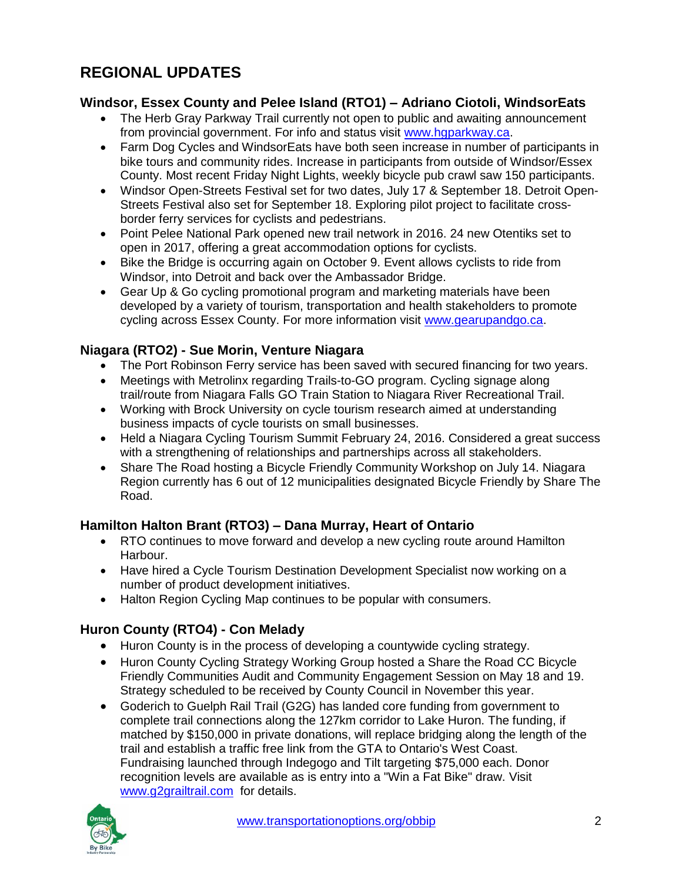# **REGIONAL UPDATES**

#### **Windsor, Essex County and Pelee Island (RTO1) – Adriano Ciotoli, WindsorEats**

- The Herb Gray Parkway Trail currently not open to public and awaiting announcement from provincial government. For info and status visit [www.hgparkway.ca.](http://www.hgparkway.ca/)
- Farm Dog Cycles and WindsorEats have both seen increase in number of participants in bike tours and community rides. Increase in participants from outside of Windsor/Essex County. Most recent Friday Night Lights, weekly bicycle pub crawl saw 150 participants.
- Windsor Open-Streets Festival set for two dates, July 17 & September 18. Detroit Open-Streets Festival also set for September 18. Exploring pilot project to facilitate crossborder ferry services for cyclists and pedestrians.
- Point Pelee National Park opened new trail network in 2016. 24 new Otentiks set to open in 2017, offering a great accommodation options for cyclists.
- Bike the Bridge is occurring again on October 9. Event allows cyclists to ride from Windsor, into Detroit and back over the Ambassador Bridge.
- Gear Up & Go cycling promotional program and marketing materials have been developed by a variety of tourism, transportation and health stakeholders to promote cycling across Essex County. For more information visit [www.gearupandgo.ca.](http://www.gearupandgo.ca/)

#### **Niagara (RTO2) - Sue Morin, Venture Niagara**

- The Port Robinson Ferry service has been saved with secured financing for two years.
- Meetings with Metrolinx regarding Trails-to-GO program. Cycling signage along trail/route from Niagara Falls GO Train Station to Niagara River Recreational Trail.
- Working with Brock University on cycle tourism research aimed at understanding business impacts of cycle tourists on small businesses.
- Held a Niagara Cycling Tourism Summit February 24, 2016. Considered a great success with a strengthening of relationships and partnerships across all stakeholders.
- Share The Road hosting a Bicycle Friendly Community Workshop on July 14. Niagara Region currently has 6 out of 12 municipalities designated Bicycle Friendly by Share The Road.

# **Hamilton Halton Brant (RTO3) – Dana Murray, Heart of Ontario**

- RTO continues to move forward and develop a new cycling route around Hamilton Harbour.
- Have hired a Cycle Tourism Destination Development Specialist now working on a number of product development initiatives.
- Halton Region Cycling Map continues to be popular with consumers.

# **Huron County (RTO4) - Con Melady**

- Huron County is in the process of developing a countywide cycling strategy.
- Huron County Cycling Strategy Working Group hosted a Share the Road CC Bicycle Friendly Communities Audit and Community Engagement Session on May 18 and 19. Strategy scheduled to be received by County Council in November this year.
- Goderich to Guelph Rail Trail (G2G) has landed core funding from government to complete trail connections along the 127km corridor to Lake Huron. The funding, if matched by \$150,000 in private donations, will replace bridging along the length of the trail and establish a traffic free link from the GTA to Ontario's West Coast. Fundraising launched through Indegogo and Tilt targeting \$75,000 each. Donor recognition levels are available as is entry into a "Win a Fat Bike" draw. Visit [www.g2grailtrail.com](http://www.g2grailtrail.com/) for details.

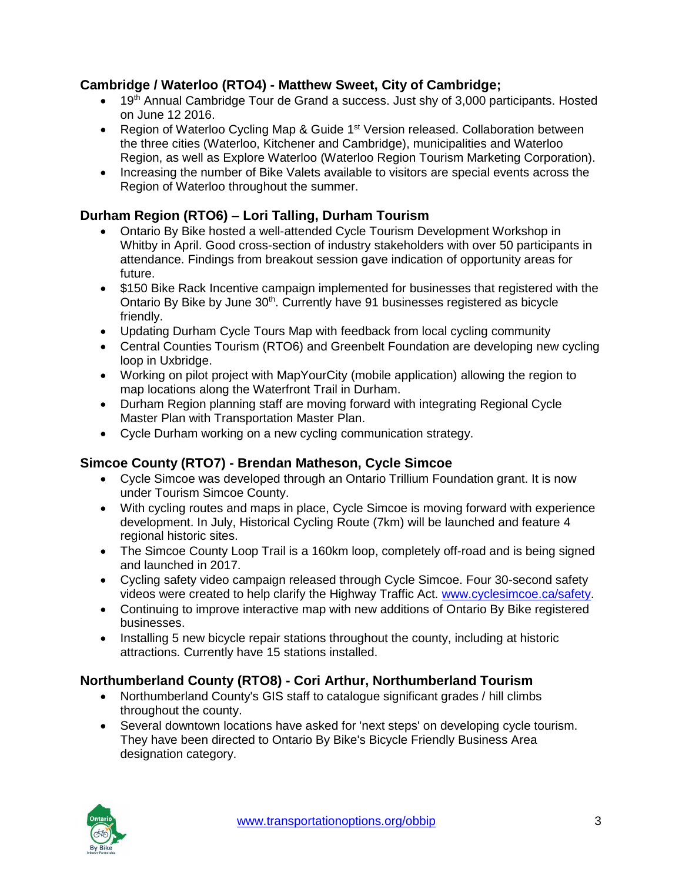# **Cambridge / Waterloo (RTO4) - Matthew Sweet, City of Cambridge;**

- 19<sup>th</sup> Annual Cambridge Tour de Grand a success. Just shy of 3,000 participants. Hosted on June 12 2016.
- Region of Waterloo Cycling Map & Guide 1<sup>st</sup> Version released. Collaboration between the three cities (Waterloo, Kitchener and Cambridge), municipalities and Waterloo Region, as well as Explore Waterloo (Waterloo Region Tourism Marketing Corporation).
- Increasing the number of Bike Valets available to visitors are special events across the Region of Waterloo throughout the summer.

# **Durham Region (RTO6) – Lori Talling, Durham Tourism**

- Ontario By Bike hosted a well-attended Cycle Tourism Development Workshop in Whitby in April. Good cross-section of industry stakeholders with over 50 participants in attendance. Findings from breakout session gave indication of opportunity areas for future.
- \$150 Bike Rack Incentive campaign implemented for businesses that registered with the Ontario By Bike by June 30<sup>th</sup>. Currently have 91 businesses registered as bicycle friendly.
- Updating Durham Cycle Tours Map with feedback from local cycling community
- Central Counties Tourism (RTO6) and Greenbelt Foundation are developing new cycling loop in Uxbridge.
- Working on pilot project with MapYourCity (mobile application) allowing the region to map locations along the Waterfront Trail in Durham.
- Durham Region planning staff are moving forward with integrating Regional Cycle Master Plan with Transportation Master Plan.
- Cycle Durham working on a new cycling communication strategy.

# **Simcoe County (RTO7) - Brendan Matheson, Cycle Simcoe**

- Cycle Simcoe was developed through an Ontario Trillium Foundation grant. It is now under Tourism Simcoe County.
- With cycling routes and maps in place, Cycle Simcoe is moving forward with experience development. In July, Historical Cycling Route (7km) will be launched and feature 4 regional historic sites.
- The Simcoe County Loop Trail is a 160km loop, completely off-road and is being signed and launched in 2017.
- Cycling safety video campaign released through Cycle Simcoe. Four 30-second safety videos were created to help clarify the Highway Traffic Act. [www.cyclesimcoe.ca/safety.](http://www.cyclesimcoe.ca/safety)
- Continuing to improve interactive map with new additions of Ontario By Bike registered businesses.
- Installing 5 new bicycle repair stations throughout the county, including at historic attractions. Currently have 15 stations installed.

# **Northumberland County (RTO8) - Cori Arthur, Northumberland Tourism**

- Northumberland County's GIS staff to catalogue significant grades / hill climbs throughout the county.
- Several downtown locations have asked for 'next steps' on developing cycle tourism. They have been directed to Ontario By Bike's Bicycle Friendly Business Area designation category.

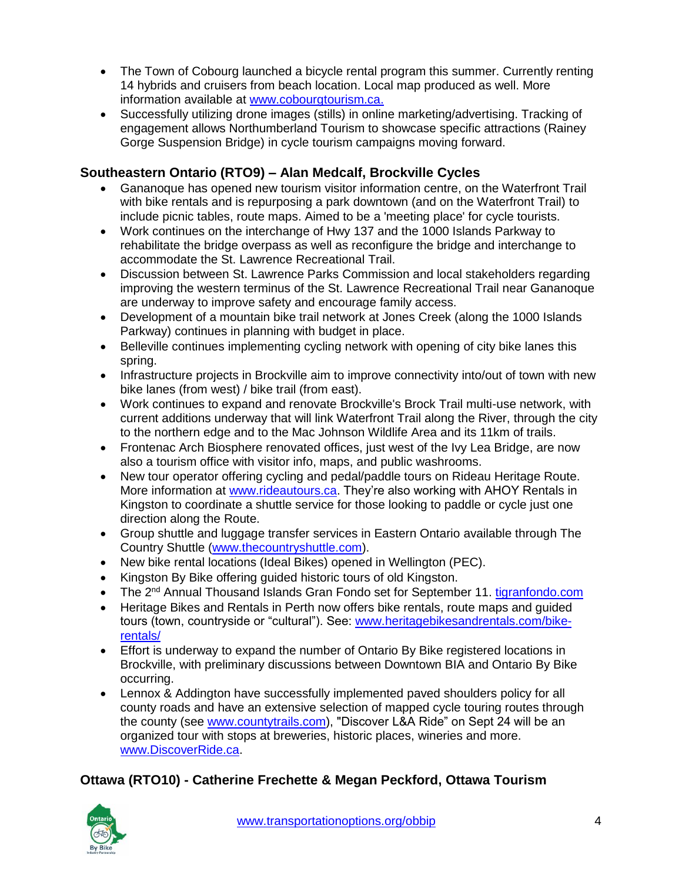- The Town of Cobourg launched a bicycle rental program this summer. Currently renting 14 hybrids and cruisers from beach location. Local map produced as well. More information available at [www.cobourgtourism.ca.](http://www.cobourgtourism.ca/)
- Successfully utilizing drone images (stills) in online marketing/advertising. Tracking of engagement allows Northumberland Tourism to showcase specific attractions (Rainey Gorge Suspension Bridge) in cycle tourism campaigns moving forward.

# **Southeastern Ontario (RTO9) – Alan Medcalf, Brockville Cycles**

- Gananoque has opened new tourism visitor information centre, on the Waterfront Trail with bike rentals and is repurposing a park downtown (and on the Waterfront Trail) to include picnic tables, route maps. Aimed to be a 'meeting place' for cycle tourists.
- Work continues on the interchange of Hwy 137 and the 1000 Islands Parkway to rehabilitate the bridge overpass as well as reconfigure the bridge and interchange to accommodate the St. Lawrence Recreational Trail.
- Discussion between St. Lawrence Parks Commission and local stakeholders regarding improving the western terminus of the St. Lawrence Recreational Trail near Gananoque are underway to improve safety and encourage family access.
- Development of a mountain bike trail network at Jones Creek (along the 1000 Islands Parkway) continues in planning with budget in place.
- Belleville continues implementing cycling network with opening of city bike lanes this spring.
- Infrastructure projects in Brockville aim to improve connectivity into/out of town with new bike lanes (from west) / bike trail (from east).
- Work continues to expand and renovate Brockville's Brock Trail multi-use network, with current additions underway that will link Waterfront Trail along the River, through the city to the northern edge and to the Mac Johnson Wildlife Area and its 11km of trails.
- Frontenac Arch Biosphere renovated offices, just west of the Ivy Lea Bridge, are now also a tourism office with visitor info, maps, and public washrooms.
- New tour operator offering cycling and pedal/paddle tours on Rideau Heritage Route. More information at [www.rideautours.ca.](http://www.rideautours.ca/) They're also working with AHOY Rentals in Kingston to coordinate a shuttle service for those looking to paddle or cycle just one direction along the Route.
- Group shuttle and luggage transfer services in Eastern Ontario available through The Country Shuttle [\(www.thecountryshuttle.com\)](http://www.thecountryshuttle.com/).
- New bike rental locations (Ideal Bikes) opened in Wellington (PEC).
- Kingston By Bike offering guided historic tours of old Kingston.
- The 2<sup>nd</sup> Annual Thousand Islands Gran Fondo set for September 11. [tigranfondo.com](http://www.tigranfondo.com/)
- Heritage Bikes and Rentals in Perth now offers bike rentals, route maps and guided tours (town, countryside or "cultural"). See: [www.heritagebikesandrentals.com/bike](http://www.heritagebikesandrentals.com/bike-rentals/)[rentals/](http://www.heritagebikesandrentals.com/bike-rentals/)
- Effort is underway to expand the number of Ontario By Bike registered locations in Brockville, with preliminary discussions between Downtown BIA and Ontario By Bike occurring.
- Lennox & Addington have successfully implemented paved shoulders policy for all county roads and have an extensive selection of mapped cycle touring routes through the county (see [www.countytrails.com\)](http://www.countytrails.com/), "Discover L&A Ride" on Sept 24 will be an organized tour with stops at breweries, historic places, wineries and more. [www.DiscoverRide.ca.](http://www.discoverride.ca/)

# **Ottawa (RTO10) - Catherine Frechette & Megan Peckford, Ottawa Tourism**

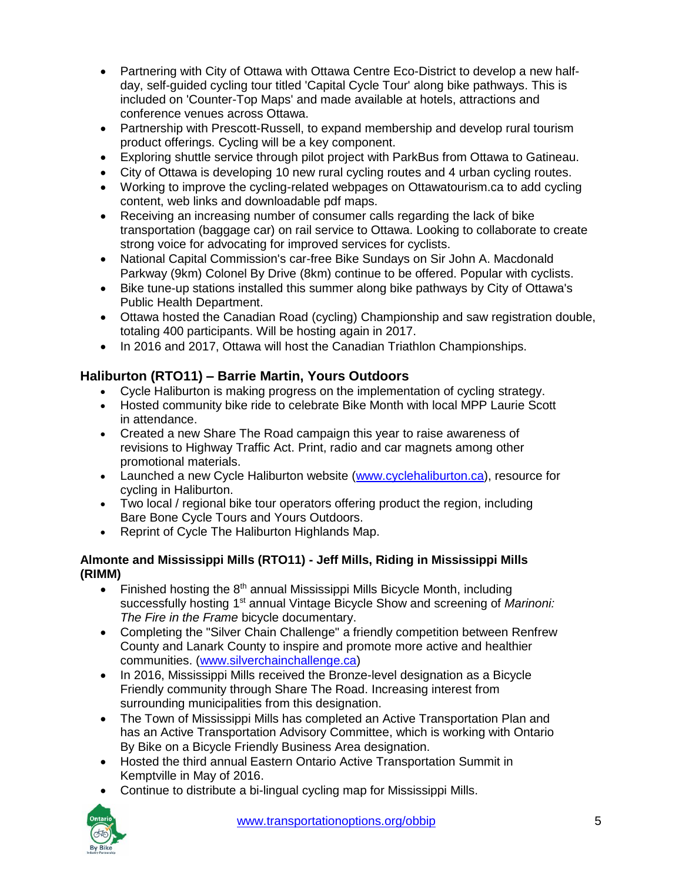- Partnering with City of Ottawa with Ottawa Centre Eco-District to develop a new halfday, self-guided cycling tour titled 'Capital Cycle Tour' along bike pathways. This is included on 'Counter-Top Maps' and made available at hotels, attractions and conference venues across Ottawa.
- Partnership with Prescott-Russell, to expand membership and develop rural tourism product offerings. Cycling will be a key component.
- Exploring shuttle service through pilot project with ParkBus from Ottawa to Gatineau.
- City of Ottawa is developing 10 new rural cycling routes and 4 urban cycling routes.
- Working to improve the cycling-related webpages on Ottawatourism.ca to add cycling content, web links and downloadable pdf maps.
- Receiving an increasing number of consumer calls regarding the lack of bike transportation (baggage car) on rail service to Ottawa. Looking to collaborate to create strong voice for advocating for improved services for cyclists.
- National Capital Commission's car-free Bike Sundays on Sir John A. Macdonald Parkway (9km) Colonel By Drive (8km) continue to be offered. Popular with cyclists.
- Bike tune-up stations installed this summer along bike pathways by City of Ottawa's Public Health Department.
- Ottawa hosted the Canadian Road (cycling) Championship and saw registration double, totaling 400 participants. Will be hosting again in 2017.
- In 2016 and 2017, Ottawa will host the Canadian Triathlon Championships.

# **Haliburton (RTO11) – Barrie Martin, Yours Outdoors**

- Cycle Haliburton is making progress on the implementation of cycling strategy.
- Hosted community bike ride to celebrate Bike Month with local MPP Laurie Scott in attendance.
- Created a new Share The Road campaign this year to raise awareness of revisions to Highway Traffic Act. Print, radio and car magnets among other promotional materials.
- Launched a new Cycle Haliburton website [\(www.cyclehaliburton.ca\)](http://www.cyclehaliburton.ca/), resource for cycling in Haliburton.
- Two local / regional bike tour operators offering product the region, including Bare Bone Cycle Tours and Yours Outdoors.
- Reprint of Cycle The Haliburton Highlands Map.

#### **Almonte and Mississippi Mills (RTO11) - Jeff Mills, Riding in Mississippi Mills (RIMM)**

- Finished hosting the  $8<sup>th</sup>$  annual Mississippi Mills Bicycle Month, including successfully hosting 1<sup>st</sup> annual Vintage Bicycle Show and screening of *Marinoni: The Fire in the Frame* bicycle documentary.
- Completing the "Silver Chain Challenge" a friendly competition between Renfrew County and Lanark County to inspire and promote more active and healthier communities. [\(www.silverchainchallenge.ca\)](http://www.silverchainchallenge.ca/)
- In 2016, Mississippi Mills received the Bronze-level designation as a Bicycle Friendly community through Share The Road. Increasing interest from surrounding municipalities from this designation.
- The Town of Mississippi Mills has completed an Active Transportation Plan and has an Active Transportation Advisory Committee, which is working with Ontario By Bike on a Bicycle Friendly Business Area designation.
- Hosted the third annual Eastern Ontario Active Transportation Summit in Kemptville in May of 2016.
- Continue to distribute a bi-lingual cycling map for Mississippi Mills.

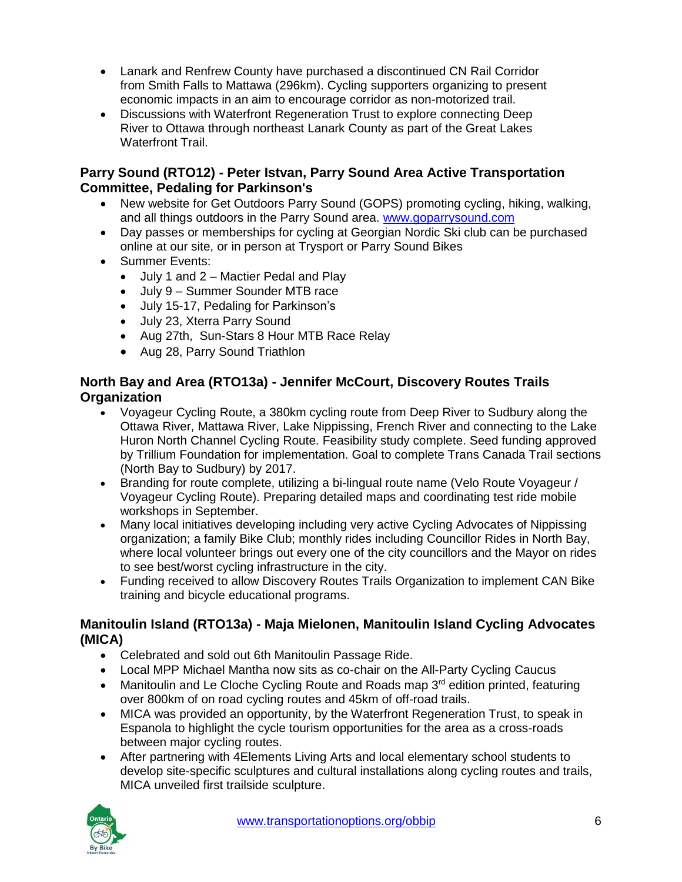- Lanark and Renfrew County have purchased a discontinued CN Rail Corridor from Smith Falls to Mattawa (296km). Cycling supporters organizing to present economic impacts in an aim to encourage corridor as non-motorized trail.
- Discussions with Waterfront Regeneration Trust to explore connecting Deep River to Ottawa through northeast Lanark County as part of the Great Lakes Waterfront Trail.

#### **Parry Sound (RTO12) - Peter Istvan, Parry Sound Area Active Transportation Committee, Pedaling for Parkinson's**

- New website for Get Outdoors Parry Sound (GOPS) promoting cycling, hiking, walking, and all things outdoors in the Parry Sound area. [www.goparrysound.com](http://www.goparrysound.com/)
- Day passes or memberships for cycling at Georgian Nordic Ski club can be purchased online at our site, or in person at Trysport or Parry Sound Bikes
- Summer Events:
	- July 1 and 2 Mactier Pedal and Play
	- July 9 Summer Sounder MTB race
	- July 15-17, Pedaling for Parkinson's
	- July 23, Xterra Parry Sound
	- Aug 27th, Sun-Stars 8 Hour MTB Race Relay
	- Aug 28, Parry Sound Triathlon

### **North Bay and Area (RTO13a) - Jennifer McCourt, Discovery Routes Trails Organization**

- Voyageur Cycling Route, a 380km cycling route from Deep River to Sudbury along the Ottawa River, Mattawa River, Lake Nippissing, French River and connecting to the Lake Huron North Channel Cycling Route. Feasibility study complete. Seed funding approved by Trillium Foundation for implementation. Goal to complete Trans Canada Trail sections (North Bay to Sudbury) by 2017.
- Branding for route complete, utilizing a bi-lingual route name (Velo Route Voyageur / Voyageur Cycling Route). Preparing detailed maps and coordinating test ride mobile workshops in September.
- Many local initiatives developing including very active Cycling Advocates of Nippissing organization; a family Bike Club; monthly rides including Councillor Rides in North Bay, where local volunteer brings out every one of the city councillors and the Mayor on rides to see best/worst cycling infrastructure in the city.
- Funding received to allow Discovery Routes Trails Organization to implement CAN Bike training and bicycle educational programs.

#### **Manitoulin Island (RTO13a) - Maja Mielonen, Manitoulin Island Cycling Advocates (MICA)**

- Celebrated and sold out 6th Manitoulin Passage Ride.
- Local MPP Michael Mantha now sits as co-chair on the All-Party Cycling Caucus
- Manitoulin and Le Cloche Cycling Route and Roads map 3<sup>rd</sup> edition printed, featuring over 800km of on road cycling routes and 45km of off-road trails.
- MICA was provided an opportunity, by the Waterfront Regeneration Trust, to speak in Espanola to highlight the cycle tourism opportunities for the area as a cross-roads between major cycling routes.
- After partnering with 4Elements Living Arts and local elementary school students to develop site-specific sculptures and cultural installations along cycling routes and trails, MICA unveiled first trailside sculpture.

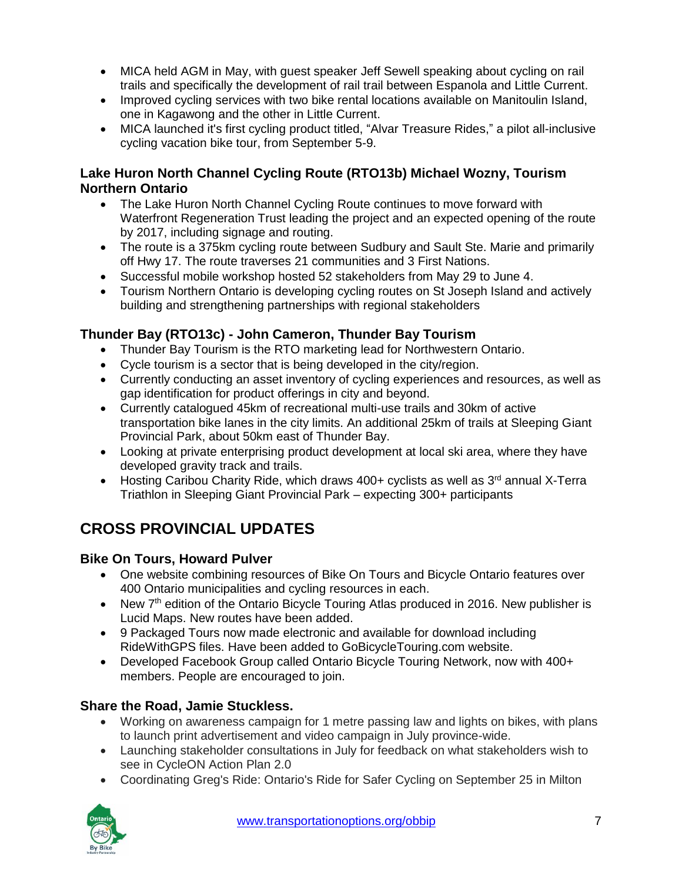- MICA held AGM in May, with quest speaker Jeff Sewell speaking about cycling on rail trails and specifically the development of rail trail between Espanola and Little Current.
- Improved cycling services with two bike rental locations available on Manitoulin Island, one in Kagawong and the other in Little Current.
- MICA launched it's first cycling product titled, "Alvar Treasure Rides," a pilot all-inclusive cycling vacation bike tour, from September 5-9.

# **Lake Huron North Channel Cycling Route (RTO13b) Michael Wozny, Tourism Northern Ontario**

- The Lake Huron North Channel Cycling Route continues to move forward with Waterfront Regeneration Trust leading the project and an expected opening of the route by 2017, including signage and routing.
- The route is a 375km cycling route between Sudbury and Sault Ste. Marie and primarily off Hwy 17. The route traverses 21 communities and 3 First Nations.
- Successful mobile workshop hosted 52 stakeholders from May 29 to June 4.
- Tourism Northern Ontario is developing cycling routes on St Joseph Island and actively building and strengthening partnerships with regional stakeholders

# **Thunder Bay (RTO13c) - John Cameron, Thunder Bay Tourism**

- Thunder Bay Tourism is the RTO marketing lead for Northwestern Ontario.
- Cycle tourism is a sector that is being developed in the city/region.
- Currently conducting an asset inventory of cycling experiences and resources, as well as gap identification for product offerings in city and beyond.
- Currently catalogued 45km of recreational multi-use trails and 30km of active transportation bike lanes in the city limits. An additional 25km of trails at Sleeping Giant Provincial Park, about 50km east of Thunder Bay.
- Looking at private enterprising product development at local ski area, where they have developed gravity track and trails.
- Hosting Caribou Charity Ride, which draws 400+ cyclists as well as 3<sup>rd</sup> annual X-Terra Triathlon in Sleeping Giant Provincial Park – expecting 300+ participants

# **CROSS PROVINCIAL UPDATES**

# **Bike On Tours, Howard Pulver**

- One website combining resources of Bike On Tours and Bicycle Ontario features over 400 Ontario municipalities and cycling resources in each.
- New 7<sup>th</sup> edition of the Ontario Bicycle Touring Atlas produced in 2016. New publisher is Lucid Maps. New routes have been added.
- 9 Packaged Tours now made electronic and available for download including RideWithGPS files. Have been added to GoBicycleTouring.com website.
- Developed Facebook Group called Ontario Bicycle Touring Network, now with 400+ members. People are encouraged to join.

# **Share the Road, Jamie Stuckless.**

- Working on awareness campaign for 1 metre passing law and lights on bikes, with plans to launch print advertisement and video campaign in July province-wide.
- Launching stakeholder consultations in July for feedback on what stakeholders wish to see in CycleON Action Plan 2.0
- Coordinating Greg's Ride: Ontario's Ride for Safer Cycling on September 25 in Milton

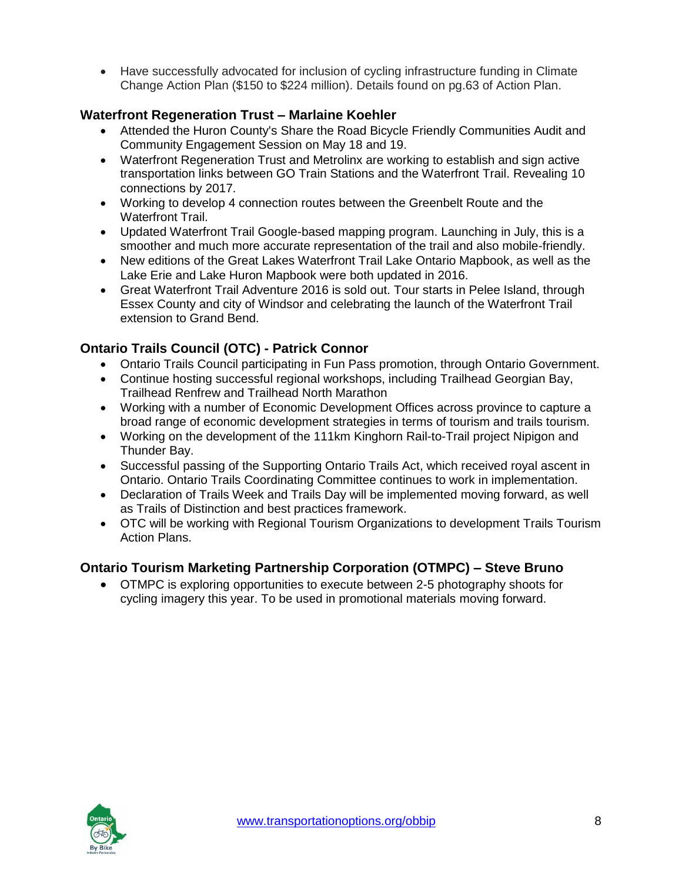Have successfully advocated for inclusion of cycling infrastructure funding in Climate Change Action Plan (\$150 to \$224 million). Details found on pg.63 of Action Plan.

# **Waterfront Regeneration Trust – Marlaine Koehler**

- Attended the Huron County's Share the Road Bicycle Friendly Communities Audit and Community Engagement Session on May 18 and 19.
- Waterfront Regeneration Trust and Metrolinx are working to establish and sign active transportation links between GO Train Stations and the Waterfront Trail. Revealing 10 connections by 2017.
- Working to develop 4 connection routes between the Greenbelt Route and the Waterfront Trail.
- Updated Waterfront Trail Google-based mapping program. Launching in July, this is a smoother and much more accurate representation of the trail and also mobile-friendly.
- New editions of the Great Lakes Waterfront Trail Lake Ontario Mapbook, as well as the Lake Erie and Lake Huron Mapbook were both updated in 2016.
- Great Waterfront Trail Adventure 2016 is sold out. Tour starts in Pelee Island, through Essex County and city of Windsor and celebrating the launch of the Waterfront Trail extension to Grand Bend.

# **Ontario Trails Council (OTC) - Patrick Connor**

- Ontario Trails Council participating in Fun Pass promotion, through Ontario Government.
- Continue hosting successful regional workshops, including Trailhead Georgian Bay, Trailhead Renfrew and Trailhead North Marathon
- Working with a number of Economic Development Offices across province to capture a broad range of economic development strategies in terms of tourism and trails tourism.
- Working on the development of the 111km Kinghorn Rail-to-Trail project Nipigon and Thunder Bay.
- Successful passing of the Supporting Ontario Trails Act, which received royal ascent in Ontario. Ontario Trails Coordinating Committee continues to work in implementation.
- Declaration of Trails Week and Trails Day will be implemented moving forward, as well as Trails of Distinction and best practices framework.
- OTC will be working with Regional Tourism Organizations to development Trails Tourism Action Plans.

# **Ontario Tourism Marketing Partnership Corporation (OTMPC) – Steve Bruno**

 OTMPC is exploring opportunities to execute between 2-5 photography shoots for cycling imagery this year. To be used in promotional materials moving forward.

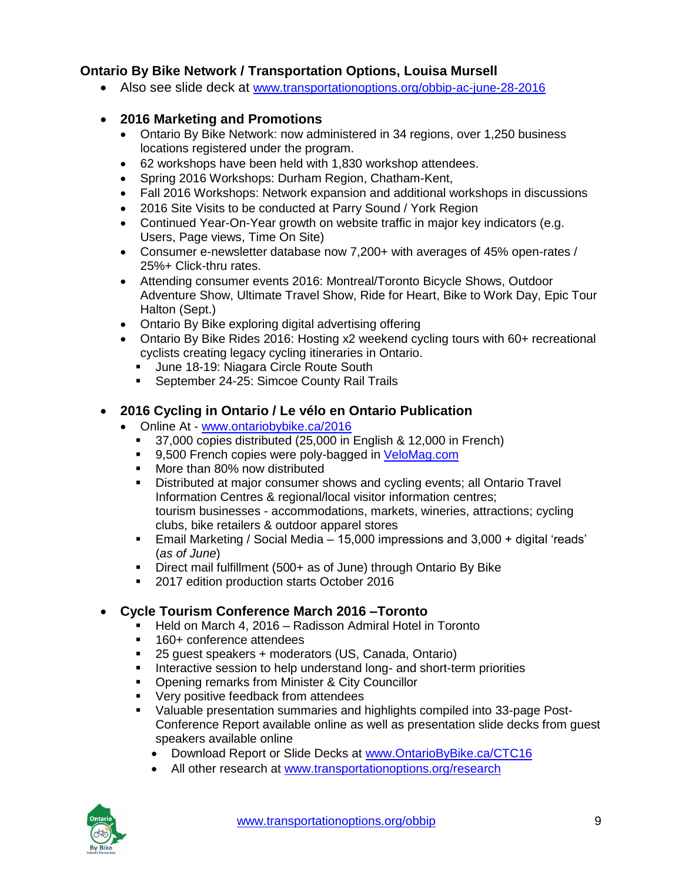# **Ontario By Bike Network / Transportation Options, Louisa Mursell**

Also see slide deck at [www.transportationoptions.org/obbip-ac-june-28-2016](http://www.transportationoptions.org/obbip-ac-june-28-2016)

# **2016 Marketing and Promotions**

- Ontario By Bike Network: now administered in 34 regions, over 1,250 business locations registered under the program.
- 62 workshops have been held with 1,830 workshop attendees.
- Spring 2016 Workshops: Durham Region, Chatham-Kent,
- Fall 2016 Workshops: Network expansion and additional workshops in discussions
- 2016 Site Visits to be conducted at Parry Sound / York Region
- Continued Year-On-Year growth on website traffic in major key indicators (e.g. Users, Page views, Time On Site)
- Consumer e-newsletter database now 7,200+ with averages of 45% open-rates / 25%+ Click-thru rates.
- Attending consumer events 2016: Montreal/Toronto Bicycle Shows, Outdoor Adventure Show, Ultimate Travel Show, Ride for Heart, Bike to Work Day, Epic Tour Halton (Sept.)
- Ontario By Bike exploring digital advertising offering
- Ontario By Bike Rides 2016: Hosting x2 weekend cycling tours with 60+ recreational cyclists creating legacy cycling itineraries in Ontario.
	- June 18-19: Niagara Circle Route South
	- **September 24-25: Simcoe County Rail Trails**

# **2016 Cycling in Ontario / Le vélo en Ontario Publication**

- Online At [www.ontariobybike.ca/2016](http://www.ontariobybike.ca/2016)
	- <sup>37</sup>,000 copies distributed (25,000 in English & 12,000 in French)
	- 9,500 French copies were poly-bagged in [VeloMag.com](http://www.velomag.com/)
	- More than 80% now distributed
	- Distributed at major consumer shows and cycling events; all Ontario Travel Information Centres & regional/local visitor information centres; tourism businesses - accommodations, markets, wineries, attractions; cycling clubs, bike retailers & outdoor apparel stores
	- Email Marketing / Social Media 15,000 impressions and 3,000 + digital 'reads' (*as of June*)
	- Direct mail fulfillment (500+ as of June) through Ontario By Bike
	- **2017 edition production starts October 2016**

# **Cycle Tourism Conference March 2016 –Toronto**

- Held on March 4, 2016 Radisson Admiral Hotel in Toronto
- 160+ conference attendees
- 25 guest speakers + moderators (US, Canada, Ontario)
- **Interactive session to help understand long- and short-term priorities**
- **Opening remarks from Minister & City Councillor**
- **Very positive feedback from attendees**
- Valuable presentation summaries and highlights compiled into 33-page Post-Conference Report available online as well as presentation slide decks from guest speakers available online
	- Download Report or Slide Decks at [www.OntarioByBike.ca/CTC16](http://www.ontariobybike.ca/CTC16)
	- All other research at [www.transportationoptions.org/research](http://www.transportationoptions.org/research)